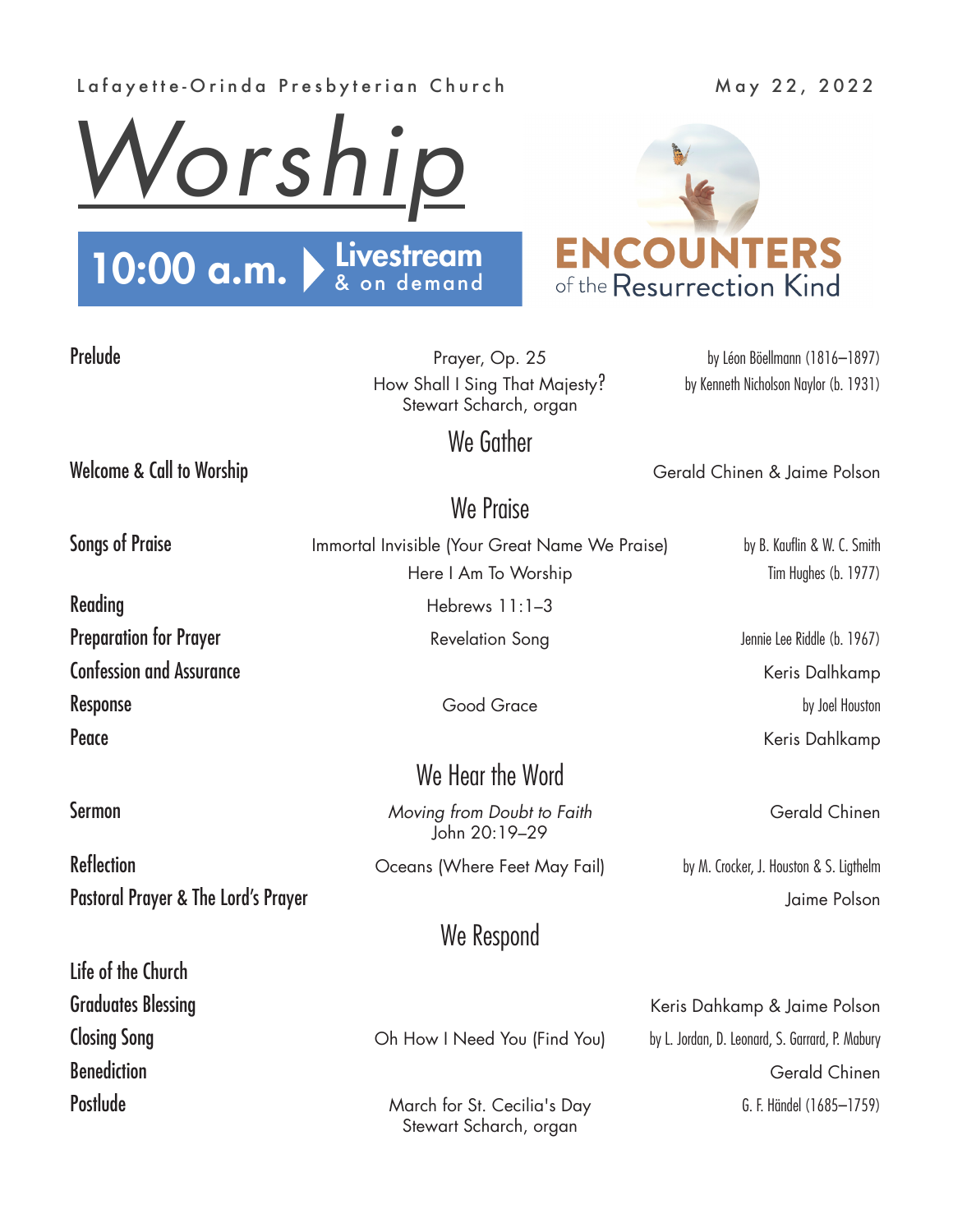### Lafayette-Orinda Presbyterian Church May 22, 2022





Prelude **Prelude** Prayer, Op. 25 by Léon Böellmann (1816–1897) How Shall I Sing That Majesty? by Kenneth Nicholson Naylor (b. 1931) Stewart Scharch, organ

Welcome & Call to Worship Network Chinen & Jaime Polson

### We Praise

We Gather

Songs of Praise **Immortal Invisible (Your Great Name We Praise)** by B. Kauflin & W. C. Smith Here I Am To Worship Tim Hughes (b. 1977) Reading **Reading Reading Reading** Hebrews 11:1–3

# We Hear the Word

**Sermon Comparison** *Moving from Doubt to Faith* **Gerald Chinen** John 20:19–29

## We Respond

Stewart Scharch, organ

Preparation for Prayer **Revelation Song** Revelation Song Jennie Lee Riddle (b. 1967) Confession and Assurance Confession and Assurance Keris Dalhkamp Response by Joel Houston and Theory Good Grace by Joel Houston by Joel Houston Peace **Reader Accord Peace Accord Peace** Keris Dahlkamp

Graduates Blessing **Contract Contract Contract Contract Contract Contract Contract Contract Contract Contract Contract Contract Contract Contract Contract Contract Contract Contract Contract Contract Contract Contract Cont** Closing Song **Changes Community** Oh How I Need You (Find You) by L. Jordan, D. Leonard, S. Garrard, P. Mabury **Benediction** Gerald Chinen Postlude March for St. Cecilia's Day 6. F. Händel (1685–1759)

Reflection **Reflection CERTION COCED CERTION COCED COCED COCED COCED COCED COCED COCED COCED COCED COCED COCED COCED COCED COCED COCED COCED COCED COCED COCED COCED COCED COC** Pastoral Prayer & The Lord's Prayer Channel Contract Contract Channel Contract Contract Channel Polson

Life of the Church